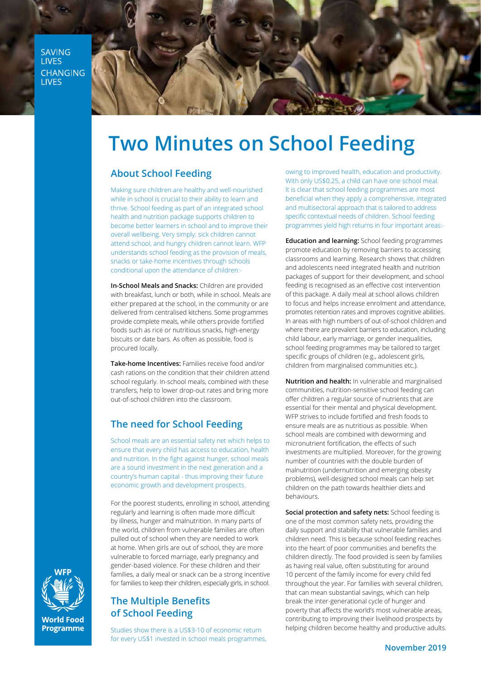SAVING **LIVES** CHANGING **LIVES** 



# **Two Minutes on School Feeding**

### **About School Feeding**

Making sure children are healthy and well-nourished while in school is crucial to their ability to learn and thrive. School feeding as part of an integrated school health and nutrition package supports children to become better learners in school and to improve their overall wellbeing. Very simply: sick children cannot attend school, and hungry children cannot learn. WFP understands school feeding as the provision of meals, snacks or take-home incentives through schools conditional upon the attendance of children:-

**In-School Meals and Snacks:** Children are provided with breakfast, lunch or both, while in school. Meals are either prepared at the school, in the community or are delivered from centralised kitchens. Some programmes provide complete meals, while others provide fortified foods such as rice or nutritious snacks, high-energy biscuits or date bars. As often as possible, food is procured locally.

**Take-home Incentives:** Families receive food and/or cash rations on the condition that their children attend school regularly. In-school meals, combined with these transfers, help to lower drop-out rates and bring more out-of-school children into the classroom.

## **The need for School Feeding**

School meals are an essential safety net which helps to ensure that every child has access to education, health and nutrition. In the fight against hunger, school meals are a sound investment in the next generation and a country's human capital - thus improving their future economic growth and development prospects.

For the poorest students, enrolling in school, attending regularly and learning is often made more difficult by illness, hunger and malnutrition. In many parts of the world, children from vulnerable families are often pulled out of school when they are needed to work at home. When girls are out of school, they are more vulnerable to forced marriage, early pregnancy and gender-based violence. For these children and their families, a daily meal or snack can be a strong incentive for families to keep their children, especially girls, in school.

### **The Multiple Benefits of School Feeding**

Studies show there is a US\$3-10 of economic return for every US\$1 invested in school meals programmes, owing to improved health, education and productivity. With only US\$0.25, a child can have one school meal. It is clear that school feeding programmes are most beneficial when they apply a comprehensive, integrated and multisectoral approach that is tailored to address specific contextual needs of children. School feeding programmes yield high returns in four important areas:-

**Education and learning:** School feeding programmes promote education by removing barriers to accessing classrooms and learning. Research shows that children and adolescents need integrated health and nutrition packages of support for their development, and school feeding is recognised as an effective cost intervention of this package. A daily meal at school allows children to focus and helps increase enrolment and attendance, promotes retention rates and improves cognitive abilities. In areas with high numbers of out-of-school children and where there are prevalent barriers to education, including child labour, early marriage, or gender inequalities, school feeding programmes may be tailored to target specific groups of children (e.g., adolescent girls, children from marginalised communities etc.).

**Nutrition and health:** In vulnerable and marginalised communities, nutrition-sensitive school feeding can offer children a regular source of nutrients that are essential for their mental and physical development. WFP strives to include fortified and fresh foods to ensure meals are as nutritious as possible. When school meals are combined with deworming and micronutrient fortification, the effects of such investments are multiplied. Moreover, for the growing number of countries with the double burden of malnutrition (undernutrition and emerging obesity problems), well-designed school meals can help set children on the path towards healthier diets and .behaviours

Social protection and safety nets: School feeding is one of the most common safety nets, providing the daily support and stability that vulnerable families and children need. This is because school feeding reaches into the heart of poor communities and benefits the children directly. The food provided is seen by families as having real value, often substituting for around 10 percent of the family income for every child fed throughout the year. For families with several children, that can mean substantial savings, which can help break the inter-generational cycle of hunger and poverty that affects the world's most vulnerable areas, contributing to improving their livelihood prospects by helping children become healthy and productive adults.



**World Food Programme**